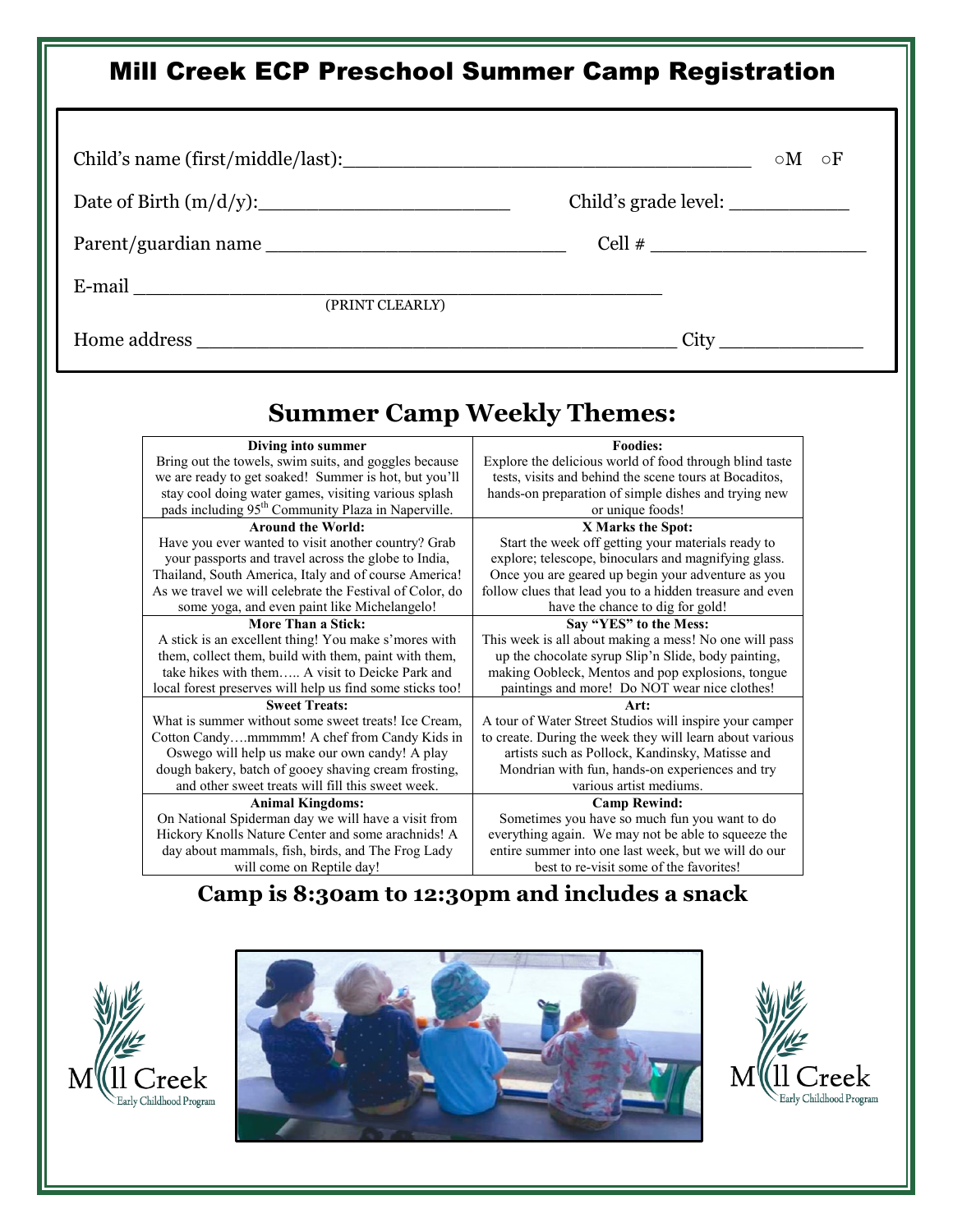# Mill Creek ECP Preschool Summer Camp Registration

|                                                                                                                        | $\circ M$<br>$\circ$ F                                                                                         |  |
|------------------------------------------------------------------------------------------------------------------------|----------------------------------------------------------------------------------------------------------------|--|
|                                                                                                                        | Child's grade level: _____________                                                                             |  |
|                                                                                                                        | $Cell \#$                                                                                                      |  |
| E-mail (PRINT CLEARLY)                                                                                                 |                                                                                                                |  |
|                                                                                                                        |                                                                                                                |  |
|                                                                                                                        |                                                                                                                |  |
| Diving into summer                                                                                                     | <b>Summer Camp Weekly Themes:</b><br><b>Foodies:</b>                                                           |  |
| Bring out the towels, swim suits, and goggles because                                                                  | Explore the delicious world of food through blind taste                                                        |  |
| we are ready to get soaked! Summer is hot, but you'll                                                                  | tests, visits and behind the scene tours at Bocaditos,                                                         |  |
| stay cool doing water games, visiting various splash<br>pads including 95 <sup>th</sup> Community Plaza in Naperville. | hands-on preparation of simple dishes and trying new<br>or unique foods!                                       |  |
| <b>Around the World:</b>                                                                                               | X Marks the Spot:                                                                                              |  |
| Have you ever wanted to visit another country? Grab                                                                    | Start the week off getting your materials ready to                                                             |  |
| your passports and travel across the globe to India,                                                                   | explore; telescope, binoculars and magnifying glass.                                                           |  |
| Thailand, South America, Italy and of course America!<br>As we travel we will celebrate the Festival of Color, do      | Once you are geared up begin your adventure as you<br>follow clues that lead you to a hidden treasure and even |  |
| some yoga, and even paint like Michelangelo!                                                                           | have the chance to dig for gold!                                                                               |  |
|                                                                                                                        |                                                                                                                |  |
| <b>More Than a Stick:</b>                                                                                              | Say "YES" to the Mess:                                                                                         |  |
| A stick is an excellent thing! You make s'mores with                                                                   | This week is all about making a mess! No one will pass                                                         |  |
| them, collect them, build with them, paint with them,                                                                  | up the chocolate syrup Slip'n Slide, body painting,                                                            |  |
| take hikes with them A visit to Deicke Park and                                                                        | making Oobleck, Mentos and pop explosions, tongue                                                              |  |
| local forest preserves will help us find some sticks too!<br><b>Sweet Treats:</b>                                      | paintings and more! Do NOT wear nice clothes!<br>Art:                                                          |  |
| What is summer without some sweet treats! Ice Cream,                                                                   | A tour of Water Street Studios will inspire your camper                                                        |  |
| Cotton Candymmmmm! A chef from Candy Kids in                                                                           | to create. During the week they will learn about various                                                       |  |
| Oswego will help us make our own candy! A play                                                                         | artists such as Pollock, Kandinsky, Matisse and                                                                |  |
| dough bakery, batch of gooey shaving cream frosting,                                                                   | Mondrian with fun, hands-on experiences and try<br>various artist mediums.                                     |  |
| and other sweet treats will fill this sweet week.<br><b>Animal Kingdoms:</b>                                           | <b>Camp Rewind:</b>                                                                                            |  |
| On National Spiderman day we will have a visit from                                                                    | Sometimes you have so much fun you want to do                                                                  |  |
| Hickory Knolls Nature Center and some arachnids! A<br>day about mammals, fish, birds, and The Frog Lady                | everything again. We may not be able to squeeze the<br>entire summer into one last week, but we will do our    |  |

#